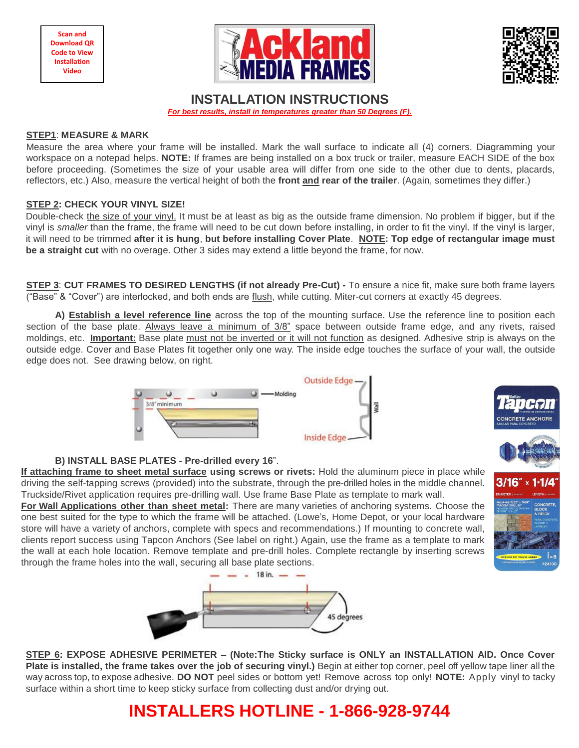$\overline{a}$ **Scan and Download QR Code to View Installation Video**





 $3/16'' \times 1.1$ 

# **INSTALLATION INSTRUCTIONS**

*For best results, install in temperatures greater than 50 Degrees (F).*

#### **STEP1**: **MEASURE & MARK**

Measure the area where your frame will be installed. Mark the wall surface to indicate all (4) corners. Diagramming your workspace on a notepad helps. **NOTE:** If frames are being installed on a box truck or trailer, measure EACH SIDE of the box before proceeding. (Sometimes the size of your usable area will differ from one side to the other due to dents, placards, reflectors, etc.) Also, measure the vertical height of both the **front and rear of the trailer**. (Again, sometimes they differ.)

## **STEP 2: CHECK YOUR VINYL SIZE!**

Double-check the size of your vinyl. It must be at least as big as the outside frame dimension. No problem if bigger, but if the vinyl is *smaller* than the frame, the frame will need to be cut down before installing, in order to fit the vinyl. If the vinyl is larger, it will need to be trimmed **after it is hung**, **but before installing Cover Plate**. **NOTE: Top edge of rectangular image must be a straight cut** with no overage. Other 3 sides may extend a little beyond the frame, for now.

**STEP 3**: **CUT FRAMES TO DESIRED LENGTHS (if not already Pre-Cut) -** To ensure a nice fit, make sure both frame layers ("Base" & "Cover") are interlocked, and both ends are flush, while cutting. Miter-cut corners at exactly 45 degrees.

**A) Establish a level reference line** across the top of the mounting surface. Use the reference line to position each section of the base plate. Always leave a minimum of 3/8" space between outside frame edge, and any rivets, raised moldings, etc. **Important:** Base plate must not be inverted or it will not function as designed. Adhesive strip is always on the outside edge. Cover and Base Plates fit together only one way. The inside edge touches the surface of your wall, the outside edge does not. See drawing below, on right.



## **B) INSTALL BASE PLATES - Pre-drilled every 16**".

**If attaching frame to sheet metal surface using screws or rivets:** Hold the aluminum piece in place while driving the self-tapping screws (provided) into the substrate, through the pre-drilled holes in the middle channel. Truckside/Rivet application requires pre-drilling wall. Use frame Base Plate as template to mark wall.

**For Wall Applications other than sheet metal:** There are many varieties of anchoring systems. Choose the one best suited for the type to which the frame will be attached. (Lowe's, Home Depot, or your local hardware store will have a variety of anchors, complete with specs and recommendations.) If mounting to concrete wall, clients report success using Tapcon Anchors (See label on right.) Again, use the frame as a template to mark the wall at each hole location. Remove template and pre-drill holes. Complete rectangle by inserting screws through the frame holes into the wall, securing all base plate sections.



**STEP 6: EXPOSE ADHESIVE PERIMETER – (Note:The Sticky surface is ONLY an INSTALLATION AID. Once Cover Plate is installed, the frame takes over the job of securing vinyl.)** Begin at either top corner, peel off yellow tape liner all the way across top, to expose adhesive. **DO NOT** peel sides or bottom yet! Remove across top only! **NOTE:** Apply vinyl to tacky surface within a short time to keep sticky surface from collecting dust and/or drying out.

# **INSTALLERS HOTLINE - 1-866-928-9744**